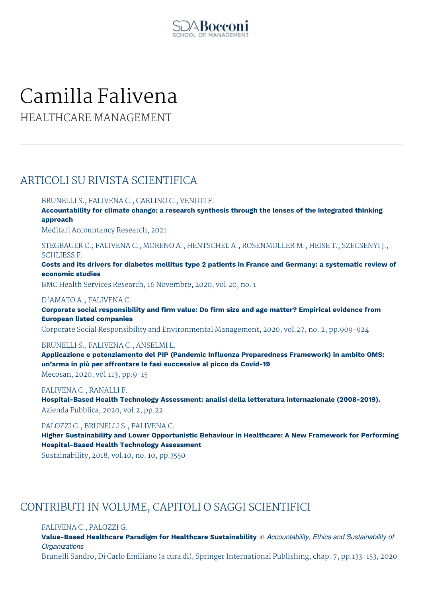

# Camilla Falivena

HEALTHCARE MANAGEMENT

# ARTICOLI SU RIVISTA SCIENTIFICA

BRUNELLI S., FALIVENA C., CARLINO C., VENUTI F.

**Accountability for climate change: a research synthesis through the lenses of the integrated thinking approach**

Meditari Accountancy Research, 2021

STEGBAUER C., FALIVENA C., MORENO A., HENTSCHEL A., ROSENMÖLLER M., HEISE T., SZECSENYI J., SCHLIESS F.

Costs and its drivers for diabetes mellitus type 2 patients in France and Germany: a systematic review of **economic studies**

BMC Health Services Research, 16 Novembre, 2020, vol.20, no. 1

# D'AMATO A., FALIVENA C.

**Corporate social responsibility and firm value: Do firm size and age matter? Empirical evidence from European listed companies**

Corporate Social Responsibility and Environmental Management, 2020, vol.27, no. 2, pp.909-924

# BRUNELLI S., FALIVENA C., ANSELMI L.

**Applicazione e potenziamento del PIP (Pandemic Influenza Preparedness Framework) in ambito OMS: un'arma in più per affrontare le fasi successive al picco da Covid-19**

Mecosan, 2020, vol.113, pp.9-15

# FALIVENA C., RANALLI F.

**Hospital-Based Health Technology Assessment: analisi della letteratura internazionale (2008-2019).** Azienda Pubblica, 2020, vol.2, pp.22

PALOZZI G., BRUNELLI S., FALIVENA C.

**Higher Sustainability and Lower Opportunistic Behaviour in Healthcare: A New Framework for Performing Hospital-Based Health Technology Assessment**

Sustainability, 2018, vol.10, no. 10, pp.3550

# CONTRIBUTI IN VOLUME, CAPITOLI O SAGGI SCIENTIFICI

## FALIVENA C., PALOZZI G.

**Value-Based Healthcare Paradigm for Healthcare Sustainability** in *Accountability, Ethics and Sustainability of Organizations*

Brunelli Sandro, Di Carlo Emiliano (a cura di), Springer International Publishing, chap. 7, pp.133-153, 2020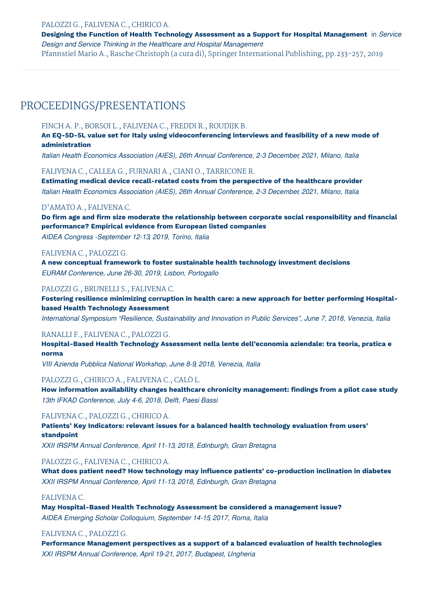#### PALOZZI G., FALIVENA C., CHIRICO A.

**Designing the Function of Health Technology Assessment as a Support for Hospital Management** in *Service Design and Service Thinking in the Healthcare and Hospital Management*

Pfannstiel Mario A., Rasche Christoph (a cura di), Springer International Publishing, pp.233-257, 2019

# PROCEEDINGS/PRESENTATIONS

#### FINCH A. P., BORSOI L., FALIVENA C., FREDDI R., ROUDIJK B.

**An EQ-5D-5L value set for Italy using videoconferencing interviews and feasibility of a new mode of administration**

*Italian Health Economics Association (AIES), 26th Annual Conference, 2-3 December, 2021, Milano, Italia*

## FALIVENA C., CALLEA G., FURNARI A., CIANI O., TARRICONE R.

**Estimating medical device recall-related costs from the perspective of the healthcare provider** *Italian Health Economics Association (AIES), 26th Annual Conference, 2-3 December, 2021, Milano, Italia*

#### D'AMATO A., FALIVENA C.

**Do firm age and firm size moderate the relationship between corporate social responsibility and financial performance? Empirical evidence from European listed companies**

*AIDEA Congress -September 12-13, 2019, Torino, Italia*

#### FALIVENA C., PALOZZI G.

**A new conceptual framework to foster sustainable health technology investment decisions** *EURAM Conference, June 26-30, 2019, Lisbon, Portogallo*

## PALOZZI G., BRUNELLI S., FALIVENA C.

**Fostering resilience minimizing corruption in health care: a new approach for better performing Hospitalbased Health Technology Assessment**

*International Symposium "Resilience, Sustainability and Innovation in Public Services", June 7, 2018, Venezia, Italia*

#### RANALLI F., FALIVENA C., PALOZZI G.

**Hospital-Based Health Technology Assessment nella lente dell'economia aziendale: tra teoria, pratica e norma**

*VIII Azienda Pubblica National Workshop, June 8-9, 2018, Venezia, Italia*

#### PALOZZI G., CHIRICO A., FALIVENA C., CALÒ L.

**How information availability changes healthcare chronicity management: findings from a pilot case study** *13th IFKAD Conference, July 4-6, 2018, Delft, Paesi Bassi*

#### FALIVENA C., PALOZZI G., CHIRICO A.

**Patients' Key Indicators: relevant issues for a balanced health technology evaluation from users' standpoint**

*XXII IRSPM Annual Conference, April 11-13, 2018, Edinburgh, Gran Bretagna*

# PALOZZI G., FALIVENA C., CHIRICO A.

**What does patient need? How technology may influence patients' co-production inclination in diabetes** *XXII IRSPM Annual Conference, April 11-13, 2018, Edinburgh, Gran Bretagna*

## FALIVENA C.

**May Hospital-Based Health Technology Assessment be considered a management issue?** *AIDEA Emerging Scholar Colloquium, September 14-15, 2017, Roma, Italia*

#### FALIVENA C., PALOZZI G.

**Performance Management perspectives as a support of a balanced evaluation of health technologies** *XXI IRSPM Annual Conference, April 19-21, 2017, Budapest, Ungheria*